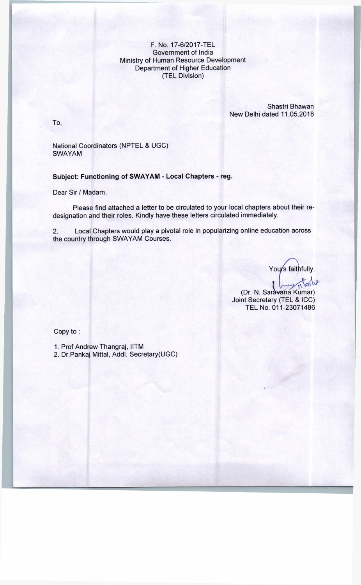## F. No. 17-6/2017-TEL Government of India Ministry of Human Resource Development Department of Higher Education (TEL Division)

Shastri Bhawan New Delhi dated 11.05.2018

To,

National Coordinators (NPTEL & UGC) SWAYAM

Subject: Functioning of SWAYAM - Local Chapters - reg.

Dear Sir / Madam,

Please find attached a letter to be circulated to your local chapters about their redesignation and their roles. Kindly have these letters circulated immediately.

2. Local Chapters would play a pivotal role in popularizing online education across the country through SWAYAM Courses.

Yours faithfully,

(Dr. N. Saravana Kumar) Joint Secretary (TEL & ICC) TEL No. 011-23071486

Copy to :

1. Prof Andrew Thangraj, IITM

2. Dr.Pankaj Mittal, Addl. Secretary(UGC)